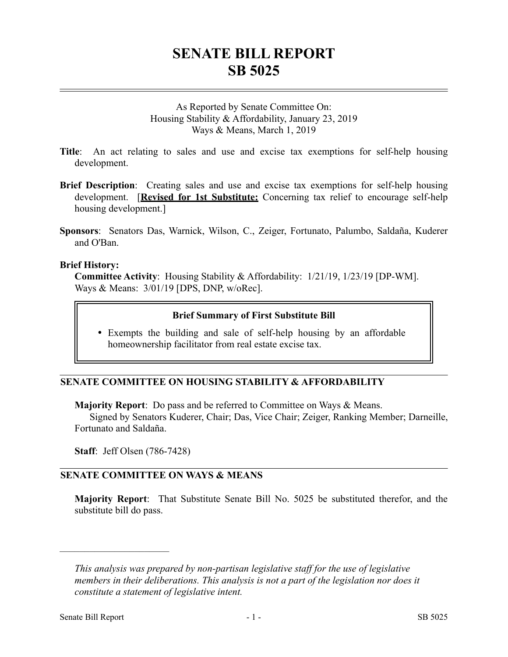# **SENATE BILL REPORT SB 5025**

## As Reported by Senate Committee On: Housing Stability & Affordability, January 23, 2019 Ways & Means, March 1, 2019

- **Title**: An act relating to sales and use and excise tax exemptions for self-help housing development.
- **Brief Description**: Creating sales and use and excise tax exemptions for self-help housing development. [**Revised for 1st Substitute:** Concerning tax relief to encourage self-help housing development.]
- **Sponsors**: Senators Das, Warnick, Wilson, C., Zeiger, Fortunato, Palumbo, Saldaña, Kuderer and O'Ban.

#### **Brief History:**

**Committee Activity**: Housing Stability & Affordability: 1/21/19, 1/23/19 [DP-WM]. Ways & Means: 3/01/19 [DPS, DNP, w/oRec].

### **Brief Summary of First Substitute Bill**

 Exempts the building and sale of self-help housing by an affordable homeownership facilitator from real estate excise tax.

# **SENATE COMMITTEE ON HOUSING STABILITY & AFFORDABILITY**

**Majority Report**: Do pass and be referred to Committee on Ways & Means.

Signed by Senators Kuderer, Chair; Das, Vice Chair; Zeiger, Ranking Member; Darneille, Fortunato and Saldaña.

**Staff**: Jeff Olsen (786-7428)

# **SENATE COMMITTEE ON WAYS & MEANS**

**Majority Report**: That Substitute Senate Bill No. 5025 be substituted therefor, and the substitute bill do pass.

––––––––––––––––––––––

*This analysis was prepared by non-partisan legislative staff for the use of legislative members in their deliberations. This analysis is not a part of the legislation nor does it constitute a statement of legislative intent.*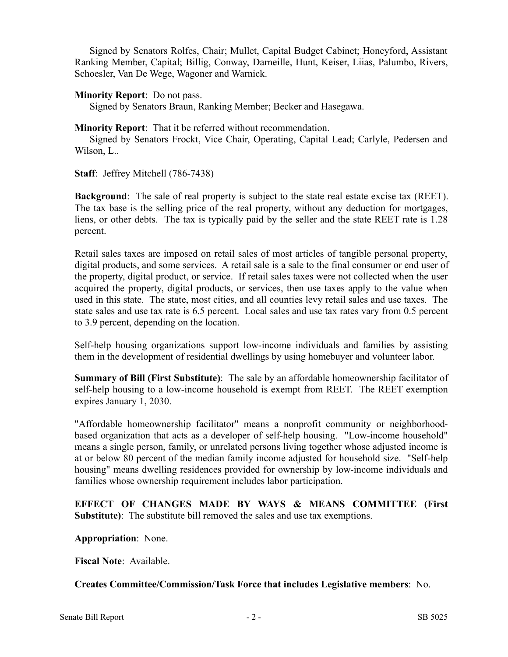Signed by Senators Rolfes, Chair; Mullet, Capital Budget Cabinet; Honeyford, Assistant Ranking Member, Capital; Billig, Conway, Darneille, Hunt, Keiser, Liias, Palumbo, Rivers, Schoesler, Van De Wege, Wagoner and Warnick.

#### **Minority Report**: Do not pass.

Signed by Senators Braun, Ranking Member; Becker and Hasegawa.

**Minority Report**: That it be referred without recommendation.

Signed by Senators Frockt, Vice Chair, Operating, Capital Lead; Carlyle, Pedersen and Wilson, L..

**Staff**: Jeffrey Mitchell (786-7438)

**Background:** The sale of real property is subject to the state real estate excise tax (REET). The tax base is the selling price of the real property, without any deduction for mortgages, liens, or other debts. The tax is typically paid by the seller and the state REET rate is 1.28 percent.

Retail sales taxes are imposed on retail sales of most articles of tangible personal property, digital products, and some services. A retail sale is a sale to the final consumer or end user of the property, digital product, or service. If retail sales taxes were not collected when the user acquired the property, digital products, or services, then use taxes apply to the value when used in this state. The state, most cities, and all counties levy retail sales and use taxes. The state sales and use tax rate is 6.5 percent. Local sales and use tax rates vary from 0.5 percent to 3.9 percent, depending on the location.

Self-help housing organizations support low-income individuals and families by assisting them in the development of residential dwellings by using homebuyer and volunteer labor.

**Summary of Bill (First Substitute)**: The sale by an affordable homeownership facilitator of self-help housing to a low-income household is exempt from REET. The REET exemption expires January 1, 2030.

"Affordable homeownership facilitator" means a nonprofit community or neighborhoodbased organization that acts as a developer of self-help housing. "Low-income household" means a single person, family, or unrelated persons living together whose adjusted income is at or below 80 percent of the median family income adjusted for household size. "Self-help housing" means dwelling residences provided for ownership by low-income individuals and families whose ownership requirement includes labor participation.

**EFFECT OF CHANGES MADE BY WAYS & MEANS COMMITTEE (First Substitute)**: The substitute bill removed the sales and use tax exemptions.

**Appropriation**: None.

**Fiscal Note**: Available.

**Creates Committee/Commission/Task Force that includes Legislative members**: No.